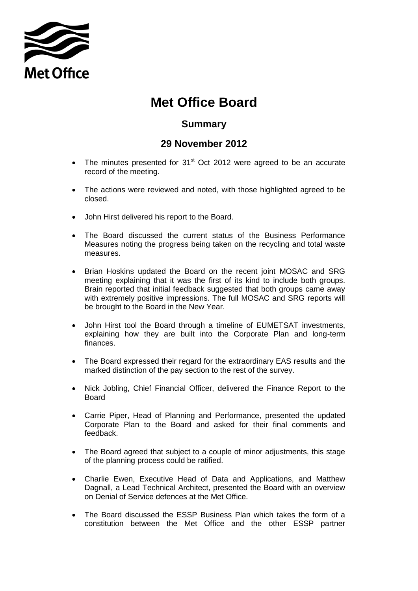

## **Met Office Board**

## **Summary**

## **29 November 2012**

- The minutes presented for  $31<sup>st</sup>$  Oct 2012 were agreed to be an accurate record of the meeting.
- The actions were reviewed and noted, with those highlighted agreed to be closed.
- John Hirst delivered his report to the Board.
- The Board discussed the current status of the Business Performance Measures noting the progress being taken on the recycling and total waste measures.
- Brian Hoskins updated the Board on the recent joint MOSAC and SRG meeting explaining that it was the first of its kind to include both groups. Brain reported that initial feedback suggested that both groups came away with extremely positive impressions. The full MOSAC and SRG reports will be brought to the Board in the New Year.
- John Hirst tool the Board through a timeline of EUMETSAT investments, explaining how they are built into the Corporate Plan and long-term finances.
- The Board expressed their regard for the extraordinary EAS results and the marked distinction of the pay section to the rest of the survey.
- Nick Jobling, Chief Financial Officer, delivered the Finance Report to the Board
- Carrie Piper, Head of Planning and Performance, presented the updated Corporate Plan to the Board and asked for their final comments and feedback.
- The Board agreed that subject to a couple of minor adjustments, this stage of the planning process could be ratified.
- Charlie Ewen, Executive Head of Data and Applications, and Matthew Dagnall, a Lead Technical Architect, presented the Board with an overview on Denial of Service defences at the Met Office.
- The Board discussed the ESSP Business Plan which takes the form of a constitution between the Met Office and the other ESSP partner